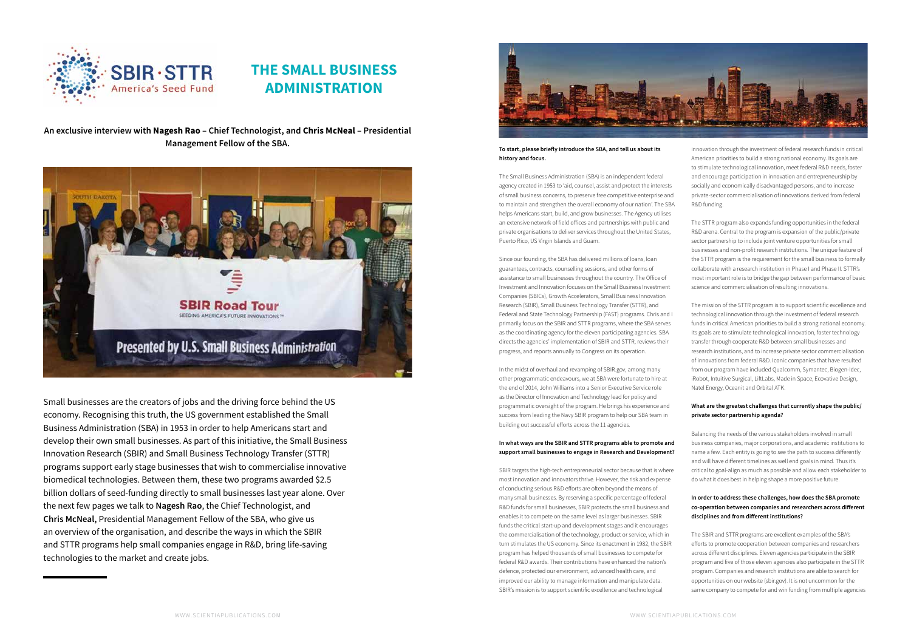Small businesses are the creators of jobs and the driving force behind the US economy. Recognising this truth, the US government established the Small Business Administration (SBA) in 1953 in order to help Americans start and develop their own small businesses. As part of this initiative, the Small Business Innovation Research (SBIR) and Small Business Technology Transfer (STTR) programs support early stage businesses that wish to commercialise innovative biomedical technologies. Between them, these two programs awarded \$2.5 billion dollars of seed-funding directly to small businesses last year alone. Over the next few pages we talk to **Nagesh Rao**, the Chief Technologist, and **Chris McNeal,** Presidential Management Fellow of the SBA, who give us an overview of the organisation, and describe the ways in which the SBIR and STTR programs help small companies engage in R&D, bring life-saving technologies to the market and create jobs.



#### **To start, please briefly introduce the SBA, and tell us about its history and focus.**

The Small Business Administration (SBA) is an independent federal agency created in 1953 to 'aid, counsel, assist and protect the interests of small business concerns, to preserve free competitive enterprise and to maintain and strengthen the overall economy of our nation'. The SBA helps Americans start, build, and grow businesses. The Agency utilises an extensive network of field offices and partnerships with public and private organisations to deliver services throughout the United States, Puerto Rico, US Virgin Islands and Guam.

Since our founding, the SBA has delivered millions of loans, loan guarantees, contracts, counselling sessions, and other forms of assistance to small businesses throughout the country. The Office of Investment and Innovation focuses on the Small Business Investment Companies (SBICs), Growth Accelerators, Small Business Innovation Research (SBIR), Small Business Technology Transfer (STTR), and Federal and State Technology Partnership (FAST) programs. Chris and I primarily focus on the SBIR and STTR programs, where the SBA serves as the coordinating agency for the eleven participating agencies. SBA directs the agencies' implementation of SBIR and STTR, reviews their progress, and reports annually to Congress on its operation.

In the midst of overhaul and revamping of SBIR.gov, among many other programmatic endeavours, we at SBA were fortunate to hire at the end of 2014, John Williams into a Senior Executive Service role as the Director of Innovation and Technology lead for policy and programmatic oversight of the program. He brings his experience and success from leading the Navy SBIR program to help our SBA team in building out successful efforts across the 11 agencies.

# **In what ways are the SBIR and STTR programs able to promote and support small businesses to engage in Research and Development?**

SBIR targets the high-tech entrepreneurial sector because that is where most innovation and innovators thrive. However, the risk and expense of conducting serious R&D efforts are often beyond the means of many small businesses. By reserving a specific percentage of federal R&D funds for small businesses, SBIR protects the small business and enables it to compete on the same level as larger businesses. SBIR funds the critical start-up and development stages and it encourages the commercialisation of the technology, product or service, which in turn stimulates the US economy. Since its enactment in 1982, the SBIR program has helped thousands of small businesses to compete for federal R&D awards. Their contributions have enhanced the nation's defence, protected our environment, advanced health care, and improved our ability to manage information and manipulate data. SBIR's mission is to support scientific excellence and technological



# **THE SMALL BUSINESS ADMINISTRATION**

innovation through the investment of federal research funds in critical American priorities to build a strong national economy. Its goals are to stimulate technological innovation, meet federal R&D needs, foster and encourage participation in innovation and entrepreneurship by socially and economically disadvantaged persons, and to increase private-sector commercialisation of innovations derived from federal R&D funding.

The STTR program also expands funding opportunities in the federal R&D arena. Central to the program is expansion of the public/private sector partnership to include joint venture opportunities for small businesses and non-profit research institutions. The unique feature of the STTR program is the requirement for the small business to formally collaborate with a research institution in Phase I and Phase II. STTR's most important role is to bridge the gap between performance of basic science and commercialisation of resulting innovations.

The mission of the STTR program is to support scientific excellence and technological innovation through the investment of federal research funds in critical American priorities to build a strong national economy. Its goals are to stimulate technological innovation, foster technology transfer through cooperate R&D between small businesses and research institutions, and to increase private sector commercialisation of innovations from federal R&D. Iconic companies that have resulted from our program have included Qualcomm, Symantec, Biogen-Idec, iRobot, Intuitive Surgical, LiftLabs, Made in Space, Ecovative Design, Natel Energy, Oceanit and Orbital ATK.

# **What are the greatest challenges that currently shape the public/ private sector partnership agenda?**

Balancing the needs of the various stakeholders involved in small business companies, major corporations, and academic institutions to name a few. Each entity is going to see the path to success differently and will have different timelines as well end goals in mind. Thus it's critical to goal-align as much as possible and allow each stakeholder to do what it does best in helping shape a more positive future.

# **In order to address these challenges, how does the SBA promote co-operation between companies and researchers across different disciplines and from different institutions?**

The SBIR and STTR programs are excellent examples of the SBA's efforts to promote cooperation between companies and researchers across different disciplines. Eleven agencies participate in the SBIR program and five of those eleven agencies also participate in the STTR program. Companies and research institutions are able to search for opportunities on our website (sbir.gov). It is not uncommon for the same company to compete for and win funding from multiple agencies

**An exclusive interview with Nagesh Rao – Chief Technologist, and Chris McNeal – Presidential Management Fellow of the SBA.**